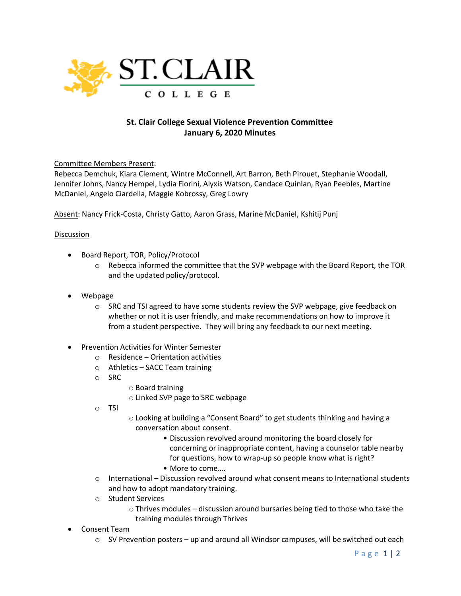

## **St. Clair College Sexual Violence Prevention Committee January 6, 2020 Minutes**

Committee Members Present:

Rebecca Demchuk, Kiara Clement, Wintre McConnell, Art Barron, Beth Pirouet, Stephanie Woodall, Jennifer Johns, Nancy Hempel, Lydia Fiorini, Alyxis Watson, Candace Quinlan, Ryan Peebles, Martine McDaniel, Angelo Ciardella, Maggie Kobrossy, Greg Lowry

Absent: Nancy Frick-Costa, Christy Gatto, Aaron Grass, Marine McDaniel, Kshitij Punj

## **Discussion**

- Board Report, TOR, Policy/Protocol
	- $\circ$  Rebecca informed the committee that the SVP webpage with the Board Report, the TOR and the updated policy/protocol.
- Webpage
	- $\circ$  SRC and TSI agreed to have some students review the SVP webpage, give feedback on whether or not it is user friendly, and make recommendations on how to improve it from a student perspective. They will bring any feedback to our next meeting.
- Prevention Activities for Winter Semester
	- $\circ$  Residence Orientation activities
	- o Athletics SACC Team training
	- o SRC
- o Board training
- o Linked SVP page to SRC webpage
- o TSI
- o Looking at building a "Consent Board" to get students thinking and having a conversation about consent.
	- Discussion revolved around monitoring the board closely for concerning or inappropriate content, having a counselor table nearby for questions, how to wrap-up so people know what is right?
	- More to come….
- $\circ$  International Discussion revolved around what consent means to International students and how to adopt mandatory training.
- o Student Services
	- o Thrives modules discussion around bursaries being tied to those who take the training modules through Thrives
- Consent Team
	- $\circ$  SV Prevention posters up and around all Windsor campuses, will be switched out each